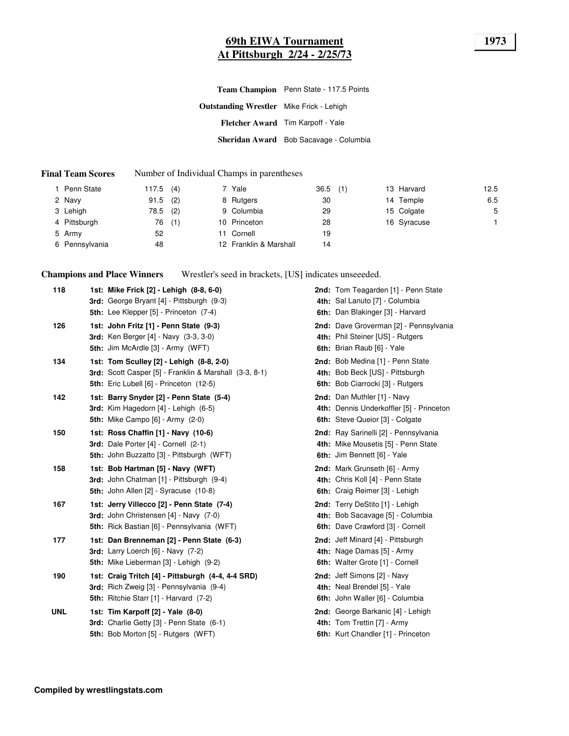## **69th EIWA Tournament 1973 At Pittsburgh 2/24 - 2/25/73**

|                                                 | Team Champion Penn State - 117.5 Points |
|-------------------------------------------------|-----------------------------------------|
| <b>Outstanding Wrestler</b> Mike Frick - Lehigh |                                         |
|                                                 | Fletcher Award Tim Karpoff - Yale       |
|                                                 | Sheridan Award Bob Sacavage - Columbia  |

#### **Final Team Scores** Number of Individual Champs in parentheses

| Penn State     | 117.5 | (4) | 7 Yale                 | 36.5 | (1) | 13 Harvard  | 12.5 |
|----------------|-------|-----|------------------------|------|-----|-------------|------|
| 2 Navy         | 91.5  | (2) | 8 Rutgers              | 30   |     | 14 Temple   | 6.5  |
| 3 Lehigh       | 78.5  | (2) | 9 Columbia             | 29   |     | 15 Colgate  | 5    |
| 4 Pittsburgh   | 76    | (1) | 10 Princeton           | 28   |     | 16 Syracuse |      |
| 5 Army         | 52    |     | 11 Cornell             | 19   |     |             |      |
| 6 Pennsylvania | 48    |     | 12 Franklin & Marshall | 14   |     |             |      |

**Champions and Place Winners** Wrestler's seed in brackets, [US] indicates unseeeded.

| 118        | 1st: Mike Frick [2] - Lehigh (8-8, 6-0)<br>3rd: George Bryant [4] - Pittsburgh (9-3)<br><b>5th:</b> Lee Klepper [5] - Princeton (7-4)                | 2nd: Tom Teagarden [1] - Penn State<br>4th: Sal Lanuto [7] - Columbia<br>6th: Dan Blakinger [3] - Harvard   |
|------------|------------------------------------------------------------------------------------------------------------------------------------------------------|-------------------------------------------------------------------------------------------------------------|
| 126        | 1st: John Fritz [1] - Penn State (9-3)<br><b>3rd:</b> Ken Berger [4] - Navy (3-3, 3-0)<br>5th: Jim McArdle [3] - Army (WFT)                          | 2nd: Dave Groverman [2] - Pennsylvania<br>4th: Phil Steiner [US] - Rutgers<br>6th: Brian Raub [6] - Yale    |
| 134        | 1st: Tom Sculley [2] - Lehigh (8-8, 2-0)<br>3rd: Scott Casper [5] - Franklin & Marshall (3-3, 8-1)<br><b>5th:</b> Eric Lubell [6] - Princeton (12-5) | 2nd: Bob Medina [1] - Penn State<br>4th: Bob Beck [US] - Pittsburgh<br>6th: Bob Ciarrocki [3] - Rutgers     |
| 142        | 1st: Barry Snyder [2] - Penn State (5-4)<br><b>3rd:</b> Kim Hagedorn $[4]$ - Lehigh $(6-5)$<br><b>5th:</b> Mike Campo [6] - Army (2-0)               | 2nd: Dan Muthler [1] - Navy<br>4th: Dennis Underkoffler [5] - Princeton<br>6th: Steve Queior [3] - Colgate  |
| 150        | 1st: Ross Chaffin [1] - Navy (10-6)<br>3rd: Dale Porter [4] - Cornell (2-1)<br>5th: John Buzzatto [3] - Pittsburgh (WFT)                             | 2nd: Ray Sarinelli [2] - Pennsylvania<br>4th: Mike Mousetis [5] - Penn State<br>6th: Jim Bennett [6] - Yale |
| 158        | 1st: Bob Hartman [5] - Navy (WFT)<br>3rd: John Chatman [1] - Pittsburgh (9-4)<br>5th: John Allen [2] - Syracuse (10-8)                               | 2nd: Mark Grunseth [6] - Army<br>4th: Chris Koll [4] - Penn State<br>6th: Craig Reimer [3] - Lehigh         |
| 167        | 1st: Jerry Villecco [2] - Penn State (7-4)<br><b>3rd:</b> John Christensen [4] - Navy (7-0)<br>5th: Rick Bastian [6] - Pennsylvania (WFT)            | 2nd: Terry DeStito [1] - Lehigh<br>4th: Bob Sacavage [5] - Columbia<br>6th: Dave Crawford [3] - Cornell     |
| 177        | 1st: Dan Brenneman [2] - Penn State (6-3)<br>3rd: Larry Loerch [6] - Navy (7-2)<br>5th: Mike Lieberman [3] - Lehigh (9-2)                            | 2nd: Jeff Minard [4] - Pittsburgh<br>4th: Nage Damas [5] - Army<br>6th: Walter Grote [1] - Cornell          |
| 190        | 1st: Craig Tritch [4] - Pittsburgh (4-4, 4-4 SRD)<br>3rd: Rich Zweig [3] - Pennsylvania (9-4)<br>5th: Ritchie Starr [1] - Harvard (7-2)              | 2nd: Jeff Simons [2] - Navy<br>4th: Neal Brendel [5] - Yale<br>6th: John Waller [6] - Columbia              |
| <b>UNL</b> | 1st: Tim Karpoff [2] - Yale (8-0)<br>3rd: Charlie Getty [3] - Penn State (6-1)<br><b>5th: Bob Morton [5] - Rutgers (WFT)</b>                         | 2nd: George Barkanic [4] - Lehigh<br>4th: Tom Trettin [7] - Army<br>6th: Kurt Chandler [1] - Princeton      |
|            |                                                                                                                                                      |                                                                                                             |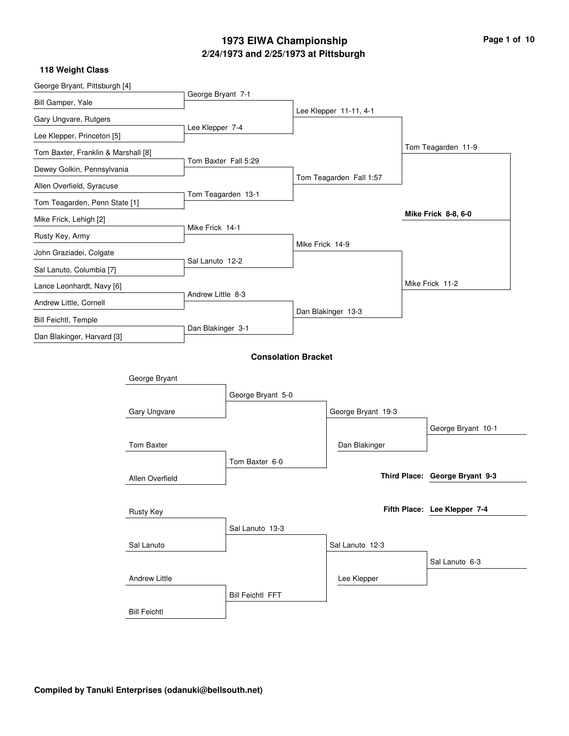## **2/24/1973 and 2/25/1973 at Pittsburgh 1973 EIWA Championship Page 1 of 10**

| George Bryant, Pittsburgh [4]       |                      |                      |                            |                 |                         |                                |
|-------------------------------------|----------------------|----------------------|----------------------------|-----------------|-------------------------|--------------------------------|
| Bill Gamper, Yale                   |                      | George Bryant 7-1    |                            |                 |                         |                                |
| Gary Ungvare, Rutgers               |                      |                      |                            |                 | Lee Klepper 11-11, 4-1  |                                |
| Lee Klepper, Princeton [5]          |                      | Lee Klepper 7-4      |                            |                 |                         |                                |
| Tom Baxter, Franklin & Marshall [8] |                      |                      |                            |                 |                         | Tom Teagarden 11-9             |
| Dewey Golkin, Pennsylvania          |                      | Tom Baxter Fall 5:29 |                            |                 |                         |                                |
| Allen Overfield, Syracuse           |                      |                      |                            |                 | Tom Teagarden Fall 1:57 |                                |
| Tom Teagarden, Penn State [1]       |                      | Tom Teagarden 13-1   |                            |                 |                         |                                |
| Mike Frick, Lehigh [2]              |                      |                      |                            |                 |                         | Mike Frick 8-8, 6-0            |
| Rusty Key, Army                     |                      | Mike Frick 14-1      |                            |                 |                         |                                |
| John Graziadei, Colgate             |                      |                      |                            | Mike Frick 14-9 |                         |                                |
| Sal Lanuto, Columbia [7]            |                      | Sal Lanuto 12-2      |                            |                 |                         |                                |
| Lance Leonhardt, Navy [6]           |                      |                      |                            |                 |                         | Mike Frick 11-2                |
| Andrew Little, Cornell              |                      | Andrew Little 8-3    |                            |                 |                         |                                |
| <b>Bill Feichtl, Temple</b>         |                      |                      |                            |                 | Dan Blakinger 13-3      |                                |
| Dan Blakinger, Harvard [3]          |                      | Dan Blakinger 3-1    |                            |                 |                         |                                |
|                                     |                      |                      | <b>Consolation Bracket</b> |                 |                         |                                |
|                                     | George Bryant        |                      |                            |                 |                         |                                |
|                                     |                      |                      | George Bryant 5-0          |                 |                         |                                |
|                                     | Gary Ungvare         |                      |                            |                 | George Bryant 19-3      |                                |
|                                     |                      |                      |                            |                 |                         | George Bryant 10-1             |
|                                     | Tom Baxter           |                      |                            |                 | Dan Blakinger           |                                |
|                                     |                      |                      | Tom Baxter 6-0             |                 |                         |                                |
|                                     | Allen Overfield      |                      |                            |                 |                         | Third Place: George Bryant 9-3 |
|                                     |                      |                      |                            |                 |                         |                                |
|                                     | Rusty Key            |                      |                            |                 |                         | Fifth Place: Lee Klepper 7-4   |
|                                     |                      |                      | Sal Lanuto 13-3            |                 |                         |                                |
|                                     | Sal Lanuto           |                      |                            |                 | Sal Lanuto 12-3         |                                |
|                                     |                      |                      |                            |                 |                         | Sal Lanuto 6-3                 |
|                                     | <b>Andrew Little</b> |                      |                            |                 | Lee Klepper             |                                |
|                                     |                      |                      | <b>Bill Feichtl FFT</b>    |                 |                         |                                |
|                                     | <b>Bill Feichtl</b>  |                      |                            |                 |                         |                                |
|                                     |                      |                      |                            |                 |                         |                                |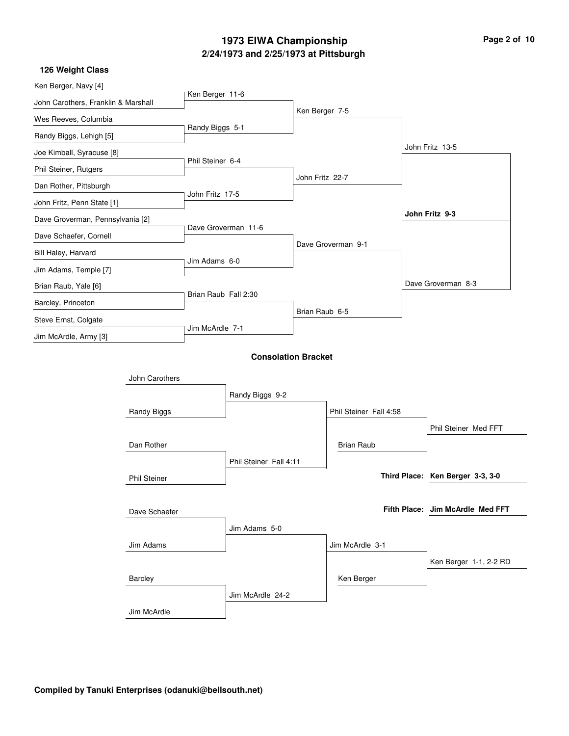## **2/24/1973 and 2/25/1973 at Pittsburgh 1973 EIWA Championship Page 2 of 10**

| Ken Berger, Navy [4]                |                     | Ken Berger 11-6      |                            |                 |                        |                                  |
|-------------------------------------|---------------------|----------------------|----------------------------|-----------------|------------------------|----------------------------------|
| John Carothers, Franklin & Marshall |                     |                      |                            | Ken Berger 7-5  |                        |                                  |
| Wes Reeves, Columbia                |                     |                      |                            |                 |                        |                                  |
| Randy Biggs, Lehigh [5]             |                     | Randy Biggs 5-1      |                            |                 |                        |                                  |
| Joe Kimball, Syracuse [8]           |                     |                      |                            |                 |                        | John Fritz 13-5                  |
| Phil Steiner, Rutgers               |                     | Phil Steiner 6-4     |                            |                 |                        |                                  |
| Dan Rother, Pittsburgh              |                     |                      |                            | John Fritz 22-7 |                        |                                  |
| John Fritz, Penn State [1]          |                     | John Fritz 17-5      |                            |                 |                        |                                  |
| Dave Groverman, Pennsylvania [2]    |                     |                      |                            |                 |                        | John Fritz 9-3                   |
| Dave Schaefer, Cornell              |                     |                      | Dave Groverman 11-6        |                 |                        |                                  |
| Bill Haley, Harvard                 |                     |                      |                            |                 | Dave Groverman 9-1     |                                  |
| Jim Adams, Temple [7]               |                     | Jim Adams 6-0        |                            |                 |                        |                                  |
| Brian Raub, Yale [6]                |                     |                      |                            |                 |                        | Dave Groverman 8-3               |
| Barcley, Princeton                  |                     | Brian Raub Fall 2:30 |                            |                 |                        |                                  |
| Steve Ernst, Colgate                |                     |                      |                            | Brian Raub 6-5  |                        |                                  |
| Jim McArdle, Army [3]               |                     | Jim McArdle 7-1      |                            |                 |                        |                                  |
|                                     |                     |                      |                            |                 |                        |                                  |
|                                     |                     |                      | <b>Consolation Bracket</b> |                 |                        |                                  |
|                                     | John Carothers      |                      |                            |                 |                        |                                  |
|                                     |                     |                      | Randy Biggs 9-2            |                 |                        |                                  |
|                                     | <b>Randy Biggs</b>  |                      |                            |                 | Phil Steiner Fall 4:58 |                                  |
|                                     |                     |                      |                            |                 |                        | Phil Steiner Med FFT             |
|                                     | Dan Rother          |                      |                            |                 | <b>Brian Raub</b>      |                                  |
|                                     |                     |                      | Phil Steiner Fall 4:11     |                 |                        |                                  |
|                                     | <b>Phil Steiner</b> |                      |                            |                 |                        | Third Place: Ken Berger 3-3, 3-0 |
|                                     |                     |                      |                            |                 |                        |                                  |
|                                     | Dave Schaefer       |                      |                            |                 |                        | Fifth Place: Jim McArdle Med FFT |
|                                     |                     |                      | Jim Adams 5-0              |                 |                        |                                  |
|                                     | Jim Adams           |                      |                            |                 | Jim McArdle 3-1        |                                  |
|                                     |                     |                      |                            |                 |                        | Ken Berger 1-1, 2-2 RD           |
|                                     | Barcley             |                      |                            |                 | Ken Berger             |                                  |
|                                     |                     |                      | Jim McArdle 24-2           |                 |                        |                                  |
|                                     | Jim McArdle         |                      |                            |                 |                        |                                  |
|                                     |                     |                      |                            |                 |                        |                                  |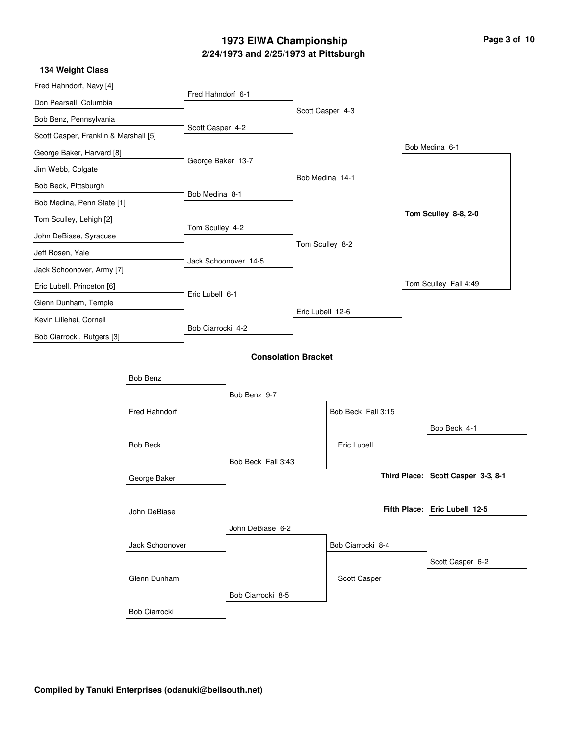## **2/24/1973 and 2/25/1973 at Pittsburgh 1973 EIWA Championship Page 3 of 10**

| Fred Hahndorf, Navy [4]               |                      |                   |                            |                  |                    |                                    |
|---------------------------------------|----------------------|-------------------|----------------------------|------------------|--------------------|------------------------------------|
| Don Pearsall, Columbia                |                      | Fred Hahndorf 6-1 |                            |                  |                    |                                    |
| Bob Benz, Pennsylvania                |                      |                   |                            | Scott Casper 4-3 |                    |                                    |
| Scott Casper, Franklin & Marshall [5] |                      | Scott Casper 4-2  |                            |                  |                    |                                    |
| George Baker, Harvard [8]             |                      |                   |                            |                  |                    | Bob Medina 6-1                     |
| Jim Webb, Colgate                     |                      | George Baker 13-7 |                            |                  |                    |                                    |
| Bob Beck, Pittsburgh                  |                      |                   |                            | Bob Medina 14-1  |                    |                                    |
| Bob Medina, Penn State [1]            |                      | Bob Medina 8-1    |                            |                  |                    |                                    |
| Tom Sculley, Lehigh [2]               |                      |                   |                            |                  |                    | Tom Sculley 8-8, 2-0               |
| John DeBiase, Syracuse                |                      | Tom Sculley 4-2   |                            |                  |                    |                                    |
| Jeff Rosen, Yale                      |                      |                   |                            | Tom Sculley 8-2  |                    |                                    |
| Jack Schoonover, Army [7]             |                      |                   | Jack Schoonover 14-5       |                  |                    |                                    |
| Eric Lubell, Princeton [6]            |                      |                   |                            |                  |                    | Tom Sculley Fall 4:49              |
| Glenn Dunham, Temple                  |                      | Eric Lubell 6-1   |                            |                  |                    |                                    |
| Kevin Lillehei, Cornell               |                      |                   |                            | Eric Lubell 12-6 |                    |                                    |
| Bob Ciarrocki, Rutgers [3]            |                      | Bob Ciarrocki 4-2 |                            |                  |                    |                                    |
|                                       |                      |                   | <b>Consolation Bracket</b> |                  |                    |                                    |
|                                       | Bob Benz             |                   |                            |                  |                    |                                    |
|                                       |                      |                   | Bob Benz 9-7               |                  |                    |                                    |
|                                       | Fred Hahndorf        |                   |                            |                  | Bob Beck Fall 3:15 |                                    |
|                                       |                      |                   |                            |                  |                    | Bob Beck 4-1                       |
|                                       | <b>Bob Beck</b>      |                   |                            |                  | Eric Lubell        |                                    |
|                                       |                      |                   | Bob Beck Fall 3:43         |                  |                    |                                    |
|                                       | George Baker         |                   |                            |                  |                    | Third Place: Scott Casper 3-3, 8-1 |
|                                       |                      |                   |                            |                  |                    |                                    |
|                                       | John DeBiase         |                   |                            |                  |                    | Fifth Place: Eric Lubell 12-5      |
|                                       |                      |                   | John DeBiase 6-2           |                  |                    |                                    |
|                                       | Jack Schoonover      |                   |                            |                  | Bob Ciarrocki 8-4  |                                    |
|                                       |                      |                   |                            |                  |                    | Scott Casper 6-2                   |
|                                       | Glenn Dunham         |                   |                            |                  | Scott Casper       |                                    |
|                                       |                      |                   | Bob Ciarrocki 8-5          |                  |                    |                                    |
|                                       | <b>Bob Ciarrocki</b> |                   |                            |                  |                    |                                    |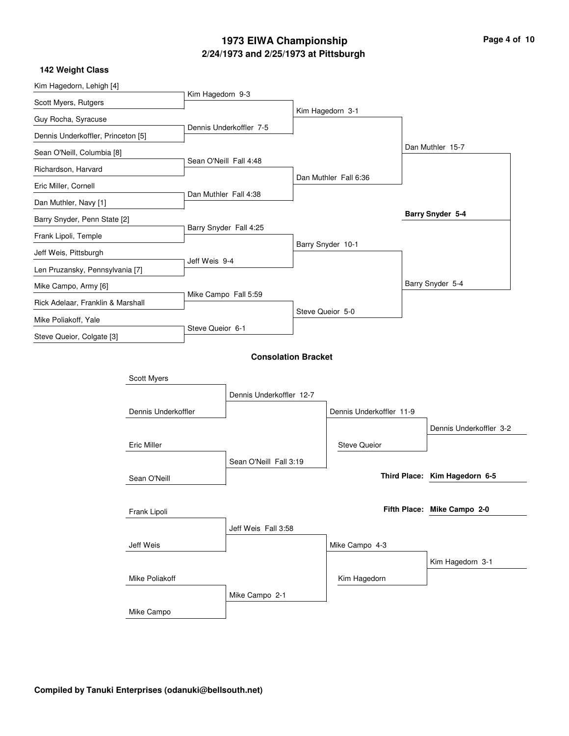## **2/24/1973 and 2/25/1973 at Pittsburgh 1973 EIWA Championship Page 4 of 10**

| Kim Hagedorn, Lehigh [4]           |                     |                        |                            |                  |                          |                               |
|------------------------------------|---------------------|------------------------|----------------------------|------------------|--------------------------|-------------------------------|
| Scott Myers, Rutgers               |                     | Kim Hagedorn 9-3       |                            |                  |                          |                               |
| Guy Rocha, Syracuse                |                     |                        |                            |                  | Kim Hagedorn 3-1         |                               |
| Dennis Underkoffler, Princeton [5] |                     |                        | Dennis Underkoffler 7-5    |                  |                          |                               |
| Sean O'Neill, Columbia [8]         |                     |                        |                            |                  |                          | Dan Muthler 15-7              |
| Richardson, Harvard                |                     | Sean O'Neill Fall 4:48 |                            |                  |                          |                               |
| Eric Miller, Cornell               |                     |                        |                            |                  | Dan Muthler Fall 6:36    |                               |
| Dan Muthler, Navy [1]              |                     | Dan Muthler Fall 4:38  |                            |                  |                          |                               |
| Barry Snyder, Penn State [2]       |                     |                        |                            |                  |                          | Barry Snyder 5-4              |
| Frank Lipoli, Temple               |                     |                        | Barry Snyder Fall 4:25     |                  |                          |                               |
| Jeff Weis, Pittsburgh              |                     |                        |                            |                  | Barry Snyder 10-1        |                               |
| Len Pruzansky, Pennsylvania [7]    |                     | Jeff Weis 9-4          |                            |                  |                          |                               |
| Mike Campo, Army [6]               |                     |                        |                            |                  |                          | Barry Snyder 5-4              |
| Rick Adelaar, Franklin & Marshall  |                     | Mike Campo Fall 5:59   |                            |                  |                          |                               |
| Mike Poliakoff, Yale               |                     |                        |                            | Steve Queior 5-0 |                          |                               |
| Steve Queior, Colgate [3]          |                     | Steve Queior 6-1       |                            |                  |                          |                               |
|                                    |                     |                        | <b>Consolation Bracket</b> |                  |                          |                               |
|                                    |                     |                        |                            |                  |                          |                               |
|                                    | Scott Myers         |                        | Dennis Underkoffler 12-7   |                  |                          |                               |
|                                    | Dennis Underkoffler |                        |                            |                  | Dennis Underkoffler 11-9 |                               |
|                                    |                     |                        |                            |                  |                          | Dennis Underkoffler 3-2       |
|                                    | <b>Eric Miller</b>  |                        |                            |                  | <b>Steve Queior</b>      |                               |
|                                    |                     |                        | Sean O'Neill Fall 3:19     |                  |                          |                               |
|                                    | Sean O'Neill        |                        |                            |                  |                          | Third Place: Kim Hagedorn 6-5 |
|                                    |                     |                        |                            |                  |                          |                               |
|                                    | Frank Lipoli        |                        |                            |                  |                          | Fifth Place: Mike Campo 2-0   |
|                                    |                     |                        | Jeff Weis Fall 3:58        |                  |                          |                               |
|                                    | Jeff Weis           |                        |                            |                  | Mike Campo 4-3           |                               |
|                                    |                     |                        |                            |                  |                          | Kim Hagedorn 3-1              |
|                                    | Mike Poliakoff      |                        |                            |                  | Kim Hagedorn             |                               |
|                                    |                     |                        | Mike Campo 2-1             |                  |                          |                               |
|                                    | Mike Campo          |                        |                            |                  |                          |                               |
|                                    |                     |                        |                            |                  |                          |                               |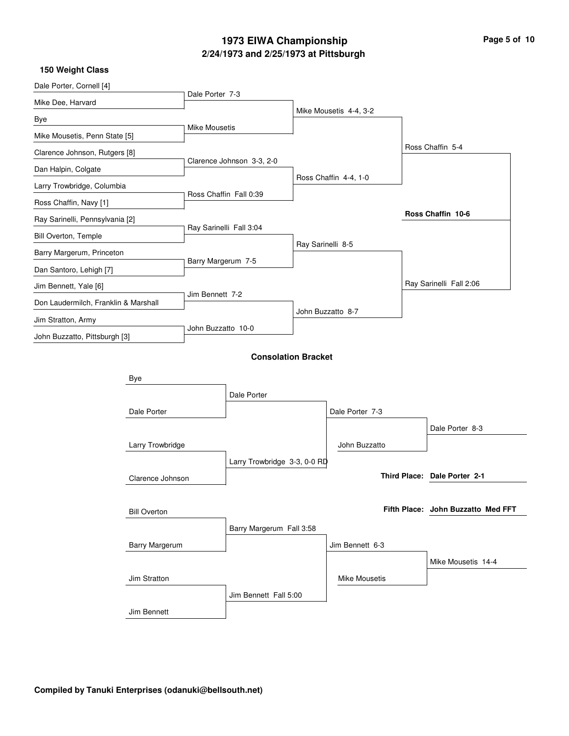## **2/24/1973 and 2/25/1973 at Pittsburgh 1973 EIWA Championship**

| Page 5 of 10 |  |  |
|--------------|--|--|
|--------------|--|--|

| Dale Porter, Cornell [4]             |                       | Dale Porter 7-3      |                              |                   |                        |                                    |
|--------------------------------------|-----------------------|----------------------|------------------------------|-------------------|------------------------|------------------------------------|
| Mike Dee, Harvard                    |                       |                      |                              |                   | Mike Mousetis 4-4, 3-2 |                                    |
| Bye                                  |                       | <b>Mike Mousetis</b> |                              |                   |                        |                                    |
| Mike Mousetis, Penn State [5]        |                       |                      |                              |                   |                        | Ross Chaffin 5-4                   |
| Clarence Johnson, Rutgers [8]        |                       |                      | Clarence Johnson 3-3, 2-0    |                   |                        |                                    |
| Dan Halpin, Colgate                  |                       |                      |                              |                   | Ross Chaffin 4-4, 1-0  |                                    |
| Larry Trowbridge, Columbia           |                       |                      | Ross Chaffin Fall 0:39       |                   |                        |                                    |
| Ross Chaffin, Navy [1]               |                       |                      |                              |                   |                        |                                    |
| Ray Sarinelli, Pennsylvania [2]      |                       |                      | Ray Sarinelli Fall 3:04      |                   |                        | Ross Chaffin 10-6                  |
| <b>Bill Overton, Temple</b>          |                       |                      |                              | Ray Sarinelli 8-5 |                        |                                    |
| Barry Margerum, Princeton            |                       | Barry Margerum 7-5   |                              |                   |                        |                                    |
| Dan Santoro, Lehigh [7]              |                       |                      |                              |                   |                        |                                    |
| Jim Bennett, Yale [6]                |                       |                      |                              |                   |                        | Ray Sarinelli Fall 2:06            |
| Don Laudermilch, Franklin & Marshall |                       | Jim Bennett 7-2      |                              |                   |                        |                                    |
| Jim Stratton, Army                   |                       |                      |                              |                   | John Buzzatto 8-7      |                                    |
| John Buzzatto, Pittsburgh [3]        |                       | John Buzzatto 10-0   |                              |                   |                        |                                    |
|                                      |                       |                      | <b>Consolation Bracket</b>   |                   |                        |                                    |
|                                      |                       |                      |                              |                   |                        |                                    |
|                                      | Bye                   |                      |                              |                   |                        |                                    |
|                                      |                       |                      | Dale Porter                  |                   |                        |                                    |
|                                      | Dale Porter           |                      |                              |                   | Dale Porter 7-3        |                                    |
|                                      |                       |                      |                              |                   |                        | Dale Porter 8-3                    |
|                                      | Larry Trowbridge      |                      |                              |                   | John Buzzatto          |                                    |
|                                      |                       |                      | Larry Trowbridge 3-3, 0-0 RD |                   |                        |                                    |
|                                      | Clarence Johnson      |                      |                              |                   |                        | Third Place: Dale Porter 2-1       |
|                                      |                       |                      |                              |                   |                        |                                    |
|                                      | <b>Bill Overton</b>   |                      |                              |                   |                        | Fifth Place: John Buzzatto Med FFT |
|                                      |                       |                      | Barry Margerum Fall 3:58     |                   |                        |                                    |
|                                      | <b>Barry Margerum</b> |                      |                              |                   | Jim Bennett 6-3        |                                    |
|                                      |                       |                      |                              |                   |                        | Mike Mousetis 14-4                 |
|                                      | Jim Stratton          |                      |                              |                   | <b>Mike Mousetis</b>   |                                    |
|                                      |                       |                      | Jim Bennett Fall 5:00        |                   |                        |                                    |
|                                      | Jim Bennett           |                      |                              |                   |                        |                                    |
|                                      |                       |                      |                              |                   |                        |                                    |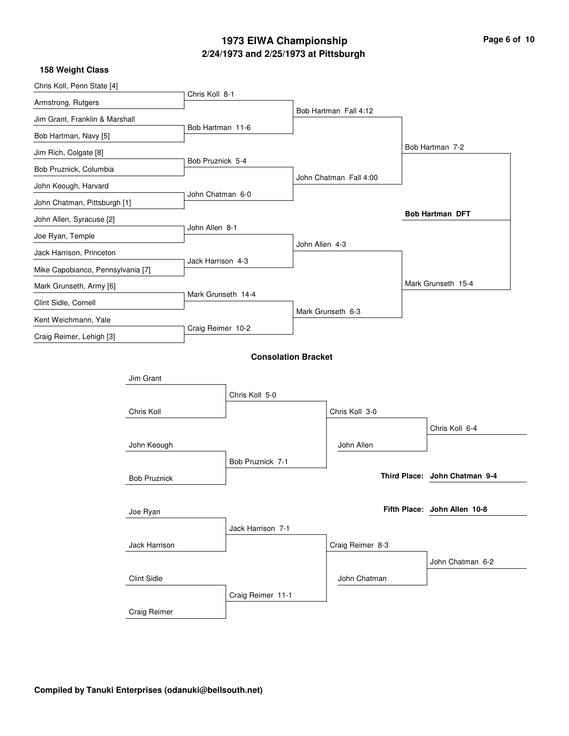## **2/24/1973 and 2/25/1973 at Pittsburgh 1973 EIWA Championship**

| Page 6 of 10 |  |  |
|--------------|--|--|
|--------------|--|--|

| Chris Koll, Penn State [4]        |                     |                    |                            |                |                        |                               |
|-----------------------------------|---------------------|--------------------|----------------------------|----------------|------------------------|-------------------------------|
| Armstrong, Rutgers                |                     | Chris Koll 8-1     |                            |                |                        |                               |
| Jim Grant, Franklin & Marshall    |                     |                    |                            |                | Bob Hartman Fall 4:12  |                               |
| Bob Hartman, Navy [5]             |                     | Bob Hartman 11-6   |                            |                |                        |                               |
| Jim Rich, Colgate [8]             |                     |                    |                            |                |                        | Bob Hartman 7-2               |
| Bob Pruznick, Columbia            |                     | Bob Pruznick 5-4   |                            |                |                        |                               |
| John Keough, Harvard              |                     |                    |                            |                | John Chatman Fall 4:00 |                               |
| John Chatman, Pittsburgh [1]      |                     | John Chatman 6-0   |                            |                |                        |                               |
| John Allen, Syracuse [2]          |                     |                    |                            |                |                        | <b>Bob Hartman DFT</b>        |
| Joe Ryan, Temple                  |                     | John Allen 8-1     |                            |                |                        |                               |
| Jack Harrison, Princeton          |                     |                    |                            | John Allen 4-3 |                        |                               |
| Mike Capobianco, Pennsylvania [7] |                     | Jack Harrison 4-3  |                            |                |                        |                               |
| Mark Grunseth, Army [6]           |                     |                    |                            |                |                        | Mark Grunseth 15-4            |
| Clint Sidle, Cornell              |                     | Mark Grunseth 14-4 |                            |                |                        |                               |
| Kent Weichmann, Yale              |                     |                    |                            |                | Mark Grunseth 6-3      |                               |
| Craig Reimer, Lehigh [3]          |                     | Craig Reimer 10-2  |                            |                |                        |                               |
|                                   |                     |                    | <b>Consolation Bracket</b> |                |                        |                               |
|                                   |                     |                    |                            |                |                        |                               |
|                                   | Jim Grant           |                    |                            |                |                        |                               |
|                                   |                     |                    | Chris Koll 5-0             |                |                        |                               |
|                                   | Chris Koll          |                    |                            |                | Chris Koll 3-0         |                               |
|                                   |                     |                    |                            |                |                        | Chris Koll 6-4                |
|                                   | John Keough         |                    |                            |                | John Allen             |                               |
|                                   |                     |                    | Bob Pruznick 7-1           |                |                        |                               |
|                                   | <b>Bob Pruznick</b> |                    |                            |                |                        | Third Place: John Chatman 9-4 |
|                                   |                     |                    |                            |                |                        |                               |
|                                   | Joe Ryan            |                    |                            |                |                        | Fifth Place: John Allen 10-8  |
|                                   |                     |                    | Jack Harrison 7-1          |                |                        |                               |
|                                   | Jack Harrison       |                    |                            |                | Craig Reimer 8-3       |                               |
|                                   |                     |                    |                            |                |                        | John Chatman 6-2              |
|                                   | <b>Clint Sidle</b>  |                    |                            |                | John Chatman           |                               |
|                                   |                     |                    | Craig Reimer 11-1          |                |                        |                               |
|                                   | Craig Reimer        |                    |                            |                |                        |                               |
|                                   |                     |                    |                            |                |                        |                               |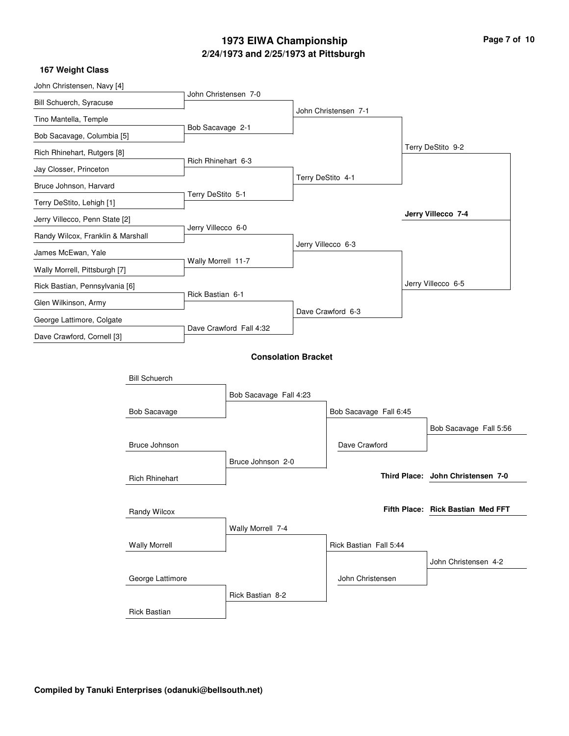# **2/24/1973 and 2/25/1973 at Pittsburgh 1973 EIWA Championship Page 7 of 10**

| John Christensen, Navy [4]        |                       |                      |                            |                   |                        |                                   |
|-----------------------------------|-----------------------|----------------------|----------------------------|-------------------|------------------------|-----------------------------------|
| <b>Bill Schuerch, Syracuse</b>    |                       | John Christensen 7-0 |                            |                   |                        |                                   |
| Tino Mantella, Temple             |                       |                      |                            |                   | John Christensen 7-1   |                                   |
| Bob Sacavage, Columbia [5]        |                       | Bob Sacavage 2-1     |                            |                   |                        |                                   |
| Rich Rhinehart, Rutgers [8]       |                       |                      |                            |                   |                        | Terry DeStito 9-2                 |
| Jay Closser, Princeton            |                       | Rich Rhinehart 6-3   |                            |                   |                        |                                   |
| Bruce Johnson, Harvard            |                       |                      |                            | Terry DeStito 4-1 |                        |                                   |
| Terry DeStito, Lehigh [1]         |                       | Terry DeStito 5-1    |                            |                   |                        |                                   |
| Jerry Villecco, Penn State [2]    |                       |                      |                            |                   |                        | Jerry Villecco 7-4                |
| Randy Wilcox, Franklin & Marshall |                       | Jerry Villecco 6-0   |                            |                   |                        |                                   |
| James McEwan, Yale                |                       |                      |                            |                   | Jerry Villecco 6-3     |                                   |
| Wally Morrell, Pittsburgh [7]     |                       | Wally Morrell 11-7   |                            |                   |                        |                                   |
| Rick Bastian, Pennsylvania [6]    |                       |                      |                            |                   |                        | Jerry Villecco 6-5                |
| Glen Wilkinson, Army              |                       | Rick Bastian 6-1     |                            |                   |                        |                                   |
| George Lattimore, Colgate         |                       |                      |                            |                   | Dave Crawford 6-3      |                                   |
| Dave Crawford, Cornell [3]        |                       |                      | Dave Crawford Fall 4:32    |                   |                        |                                   |
|                                   |                       |                      | <b>Consolation Bracket</b> |                   |                        |                                   |
|                                   |                       |                      |                            |                   |                        |                                   |
|                                   | <b>Bill Schuerch</b>  |                      |                            |                   |                        |                                   |
|                                   |                       |                      | Bob Sacavage Fall 4:23     |                   |                        |                                   |
|                                   | <b>Bob Sacavage</b>   |                      |                            |                   | Bob Sacavage Fall 6:45 |                                   |
|                                   |                       |                      |                            |                   |                        | Bob Sacavage Fall 5:56            |
|                                   | Bruce Johnson         |                      |                            |                   | Dave Crawford          |                                   |
|                                   |                       |                      | Bruce Johnson 2-0          |                   |                        | Third Place: John Christensen 7-0 |
|                                   | <b>Rich Rhinehart</b> |                      |                            |                   |                        |                                   |
|                                   |                       |                      |                            |                   |                        | Fifth Place: Rick Bastian Med FFT |
|                                   | Randy Wilcox          |                      |                            |                   |                        |                                   |
|                                   |                       |                      | Wally Morrell 7-4          |                   |                        |                                   |
|                                   | <b>Wally Morrell</b>  |                      |                            |                   | Rick Bastian Fall 5:44 |                                   |
|                                   |                       |                      |                            |                   |                        | John Christensen 4-2              |
|                                   | George Lattimore      |                      |                            |                   | John Christensen       |                                   |
|                                   |                       |                      | Rick Bastian 8-2           |                   |                        |                                   |
|                                   | <b>Rick Bastian</b>   |                      |                            |                   |                        |                                   |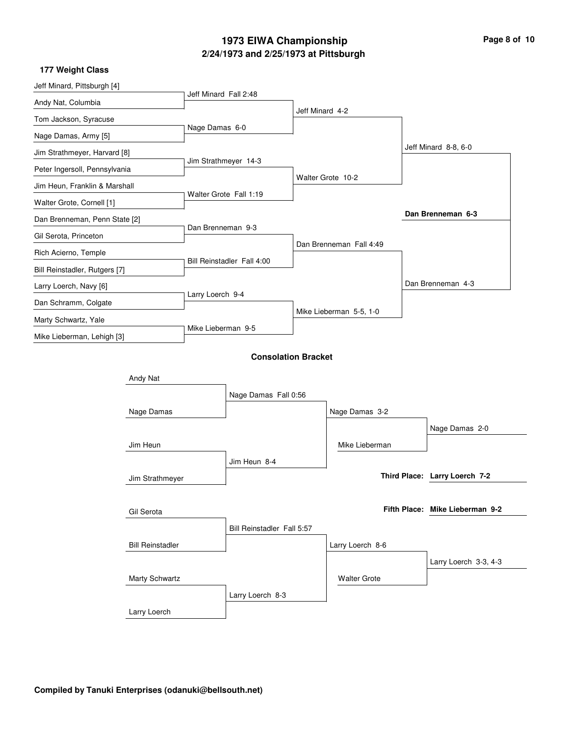## **2/24/1973 and 2/25/1973 at Pittsburgh 1973 EIWA Championship Page 8 of 10**

| Jeff Minard, Pittsburgh [4]                                                            |            |                            |                  |                         |                     |  |                                 |  |
|----------------------------------------------------------------------------------------|------------|----------------------------|------------------|-------------------------|---------------------|--|---------------------------------|--|
| Andy Nat, Columbia                                                                     |            | Jeff Minard Fall 2:48      |                  |                         |                     |  |                                 |  |
| Tom Jackson, Syracuse                                                                  |            |                            |                  | Jeff Minard 4-2         |                     |  |                                 |  |
| Nage Damas, Army [5]                                                                   |            | Nage Damas 6-0             |                  |                         |                     |  |                                 |  |
| Jim Strathmeyer, Harvard [8]                                                           |            |                            |                  |                         |                     |  | Jeff Minard 8-8, 6-0            |  |
| Peter Ingersoll, Pennsylvania                                                          |            | Jim Strathmeyer 14-3       |                  |                         |                     |  |                                 |  |
| Jim Heun, Franklin & Marshall                                                          |            | Walter Grote Fall 1:19     |                  |                         | Walter Grote 10-2   |  |                                 |  |
| Walter Grote, Cornell [1]                                                              |            |                            |                  |                         |                     |  |                                 |  |
| Dan Brenneman, Penn State [2]                                                          |            |                            |                  |                         |                     |  | Dan Brenneman 6-3               |  |
| Gil Serota, Princeton                                                                  |            | Dan Brenneman 9-3          |                  |                         |                     |  |                                 |  |
| Rich Acierno, Temple                                                                   |            |                            |                  | Dan Brenneman Fall 4:49 |                     |  |                                 |  |
| Bill Reinstadler, Rutgers [7]                                                          |            | Bill Reinstadler Fall 4:00 |                  |                         |                     |  |                                 |  |
| Larry Loerch, Navy [6]                                                                 |            |                            |                  |                         |                     |  | Dan Brenneman 4-3               |  |
| Dan Schramm, Colgate                                                                   |            |                            | Larry Loerch 9-4 |                         |                     |  |                                 |  |
| Marty Schwartz, Yale                                                                   |            | Mike Lieberman 9-5         |                  | Mike Lieberman 5-5, 1-0 |                     |  |                                 |  |
| Mike Lieberman, Lehigh [3]                                                             |            |                            |                  |                         |                     |  |                                 |  |
|                                                                                        |            | <b>Consolation Bracket</b> |                  |                         |                     |  |                                 |  |
| Andy Nat                                                                               |            |                            |                  |                         |                     |  |                                 |  |
|                                                                                        |            | Nage Damas Fall 0:56       |                  |                         |                     |  |                                 |  |
|                                                                                        |            |                            |                  |                         |                     |  |                                 |  |
|                                                                                        | Nage Damas |                            |                  |                         | Nage Damas 3-2      |  |                                 |  |
| Jim Heun<br>Jim Strathmeyer<br>Gil Serota<br><b>Bill Reinstadler</b><br>Marty Schwartz |            |                            |                  |                         |                     |  | Nage Damas 2-0                  |  |
|                                                                                        |            |                            |                  |                         | Mike Lieberman      |  |                                 |  |
|                                                                                        |            | Jim Heun 8-4               |                  |                         |                     |  |                                 |  |
|                                                                                        |            |                            |                  |                         |                     |  | Third Place: Larry Loerch 7-2   |  |
|                                                                                        |            |                            |                  |                         |                     |  |                                 |  |
|                                                                                        |            | Bill Reinstadler Fall 5:57 |                  |                         |                     |  | Fifth Place: Mike Lieberman 9-2 |  |
|                                                                                        |            |                            |                  |                         |                     |  |                                 |  |
|                                                                                        |            |                            |                  | Larry Loerch 8-6        |                     |  |                                 |  |
|                                                                                        |            |                            |                  |                         |                     |  | Larry Loerch 3-3, 4-3           |  |
|                                                                                        |            |                            |                  |                         | <b>Walter Grote</b> |  |                                 |  |
|                                                                                        |            |                            | Larry Loerch 8-3 |                         |                     |  |                                 |  |
| Larry Loerch                                                                           |            |                            |                  |                         |                     |  |                                 |  |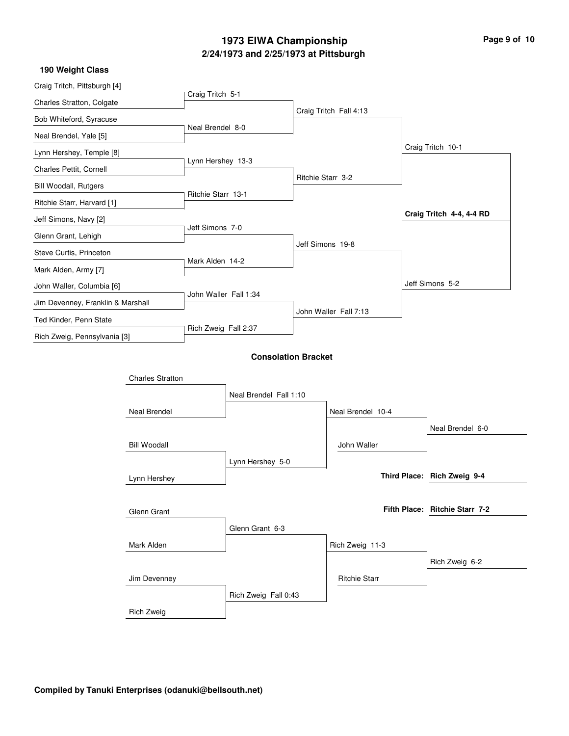### **2/24/1973 and 2/25/1973 at Pittsburgh 1973 EIWA Championship Page 9 of 10**

| 190 Weight Class                                    |                         |                       |                            |                   |                        |  |                                |
|-----------------------------------------------------|-------------------------|-----------------------|----------------------------|-------------------|------------------------|--|--------------------------------|
| Craig Tritch, Pittsburgh [4]                        |                         |                       |                            |                   |                        |  |                                |
| Charles Stratton, Colgate                           |                         | Craig Tritch 5-1      |                            |                   |                        |  |                                |
| Bob Whiteford, Syracuse                             |                         |                       |                            |                   | Craig Tritch Fall 4:13 |  |                                |
| Neal Brendel, Yale [5]                              |                         | Neal Brendel 8-0      |                            |                   |                        |  |                                |
| Lynn Hershey, Temple [8]                            |                         |                       |                            |                   |                        |  | Craig Tritch 10-1              |
| Charles Pettit, Cornell                             |                         | Lynn Hershey 13-3     |                            |                   |                        |  |                                |
| <b>Bill Woodall, Rutgers</b>                        |                         |                       |                            | Ritchie Starr 3-2 |                        |  |                                |
| Ritchie Starr, Harvard [1]                          |                         | Ritchie Starr 13-1    |                            |                   |                        |  |                                |
| Jeff Simons, Navy [2]                               |                         |                       |                            |                   |                        |  | Craig Tritch 4-4, 4-4 RD       |
| Glenn Grant, Lehigh                                 |                         | Jeff Simons 7-0       |                            |                   |                        |  |                                |
| Steve Curtis, Princeton                             |                         |                       |                            | Jeff Simons 19-8  |                        |  |                                |
| Mark Alden, Army [7]                                |                         | Mark Alden 14-2       |                            |                   |                        |  |                                |
| John Waller, Columbia [6]                           |                         |                       |                            |                   |                        |  | Jeff Simons 5-2                |
| Jim Devenney, Franklin & Marshall                   |                         | John Waller Fall 1:34 |                            |                   |                        |  |                                |
| Ted Kinder, Penn State                              |                         |                       |                            |                   | John Waller Fall 7:13  |  |                                |
| Rich Zweig, Pennsylvania [3]                        |                         |                       | Rich Zweig Fall 2:37       |                   |                        |  |                                |
|                                                     |                         |                       | <b>Consolation Bracket</b> |                   |                        |  |                                |
|                                                     |                         |                       |                            |                   |                        |  |                                |
|                                                     | <b>Charles Stratton</b> |                       |                            |                   |                        |  |                                |
|                                                     |                         |                       | Neal Brendel Fall 1:10     |                   |                        |  |                                |
| Neal Brendel<br><b>Bill Woodall</b><br>Lynn Hershey |                         |                       |                            |                   | Neal Brendel 10-4      |  |                                |
|                                                     |                         |                       |                            |                   |                        |  | Neal Brendel 6-0               |
|                                                     |                         |                       |                            |                   | John Waller            |  |                                |
|                                                     |                         |                       | Lynn Hershey 5-0           |                   |                        |  |                                |
|                                                     |                         |                       |                            |                   |                        |  | Third Place: Rich Zweig 9-4    |
|                                                     |                         |                       |                            |                   |                        |  |                                |
| Glenn Grant                                         |                         |                       |                            |                   |                        |  | Fifth Place: Ritchie Starr 7-2 |
|                                                     |                         | Glenn Grant 6-3       |                            |                   |                        |  |                                |
|                                                     | Mark Alden              |                       |                            |                   | Rich Zweig 11-3        |  |                                |
|                                                     |                         |                       |                            |                   |                        |  | Rich Zweig 6-2                 |
|                                                     | Jim Devenney            |                       |                            |                   | <b>Ritchie Starr</b>   |  |                                |
|                                                     |                         |                       | Rich Zweig Fall 0:43       |                   |                        |  |                                |

Rich Zweig